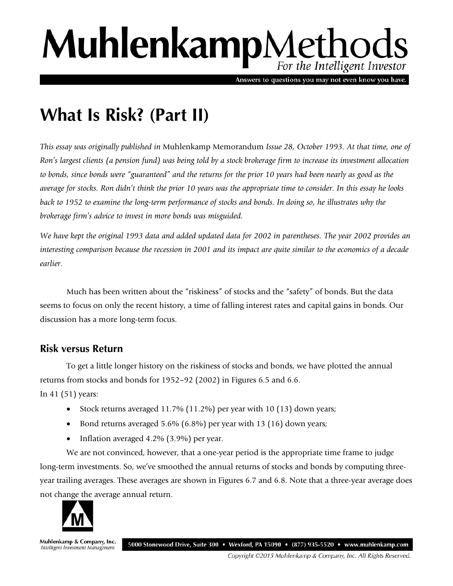# MuhlenkampMethods For the Intelligent Investor

Answers to questions you may not even know you have.

# **What Is Risk? (Part II)**

*This essay was originally published in* Muhlenkamp Memorandum *Issue 28, October 1993. At that time, one of Ron's largest clients (a pension fund) was being told by a stock brokerage firm to increase its investment allocation to bonds, since bonds were "guaranteed" and the returns for the prior 10 years had been nearly as good as the average for stocks. Ron didn't think the prior 10 years was the appropriate time to consider. In this essay he looks back to 1952 to examine the long-term performance of stocks and bonds. In doing so, he illustrates why the brokerage firm's advice to invest in more bonds was misguided.* 

*We have kept the original 1993 data and added updated data for 2002 in parentheses. The year 2002 provides an interesting comparison because the recession in 2001 and its impact are quite similar to the economics of a decade earlier.*

Much has been written about the "riskiness" of stocks and the "safety" of bonds. But the data seems to focus on only the recent history, a time of falling interest rates and capital gains in bonds. Our discussion has a more long-term focus.

## **Risk versus Return**

To get a little longer history on the riskiness of stocks and bonds, we have plotted the annual returns from stocks and bonds for 1952–92 (2002) in Figures 6.5 and 6.6.

In 41 (51) years:

- Stock returns averaged 11.7% (11.2%) per year with 10 (13) down years;
- Bond returns averaged 5.6% (6.8%) per year with 13 (16) down years;
- Inflation averaged 4.2% (3.9%) per year.

We are not convinced, however, that a one-year period is the appropriate time frame to judge long-term investments. So, we've smoothed the annual returns of stocks and bonds by computing threeyear trailing averages. These averages are shown in Figures 6.7 and 6.8. Note that a three-year average does not change the average annual return.



Muhlenkamp & Company, Inc. 5000 Stonewood Drive, Suite 300 • Wexford, PA 15090 • (877) 935-5520 • www.muhlenkamp.com Intelligent Investment Management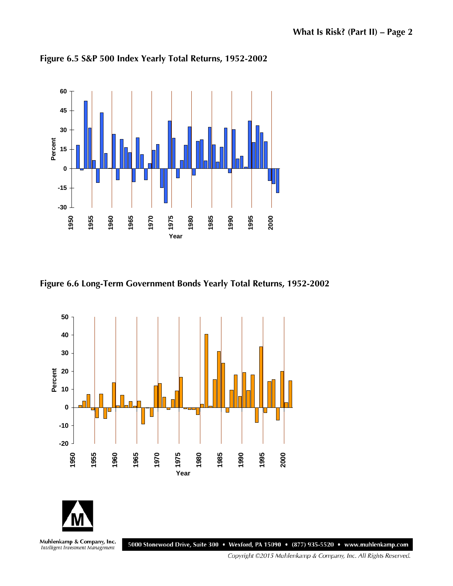

**Figure 6.5 S&P 500 Index Yearly Total Returns, 1952-2002**

**Figure 6.6 Long-Term Government Bonds Yearly Total Returns, 1952-2002**





Muhlenkamp & Company, Inc.<br>Intelligent Investment Management

5000 Stonewood Drive, Suite 300 • Wexford, PA 15090 • (877) 935-5520 • www.muhlenkamp.com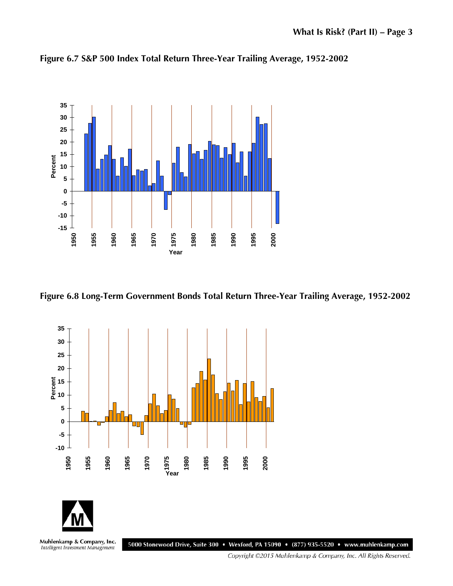

**Figure 6.7 S&P 500 Index Total Return Three-Year Trailing Average, 1952-2002**







Muhlenkamp & Company, Inc.<br>Intelligent Investment Management 5000 Stonewood Drive, Suite 300 • Wexford, PA 15090 • (877) 935-5520 • www.muhlenkamp.com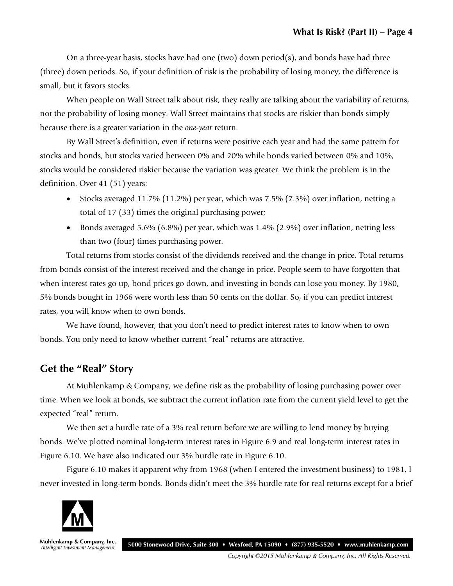On a three-year basis, stocks have had one (two) down period(s), and bonds have had three (three) down periods. So, if your definition of risk is the probability of losing money, the difference is small, but it favors stocks.

When people on Wall Street talk about risk, they really are talking about the variability of returns, not the probability of losing money. Wall Street maintains that stocks are riskier than bonds simply because there is a greater variation in the *one-year* return.

By Wall Street's definition, even if returns were positive each year and had the same pattern for stocks and bonds, but stocks varied between 0% and 20% while bonds varied between 0% and 10%, stocks would be considered riskier because the variation was greater. We think the problem is in the definition. Over 41 (51) years:

- Stocks averaged 11.7% (11.2%) per year, which was 7.5% (7.3%) over inflation, netting a total of 17 (33) times the original purchasing power;
- Bonds averaged 5.6% (6.8%) per year, which was 1.4% (2.9%) over inflation, netting less than two (four) times purchasing power.

Total returns from stocks consist of the dividends received and the change in price. Total returns from bonds consist of the interest received and the change in price. People seem to have forgotten that when interest rates go up, bond prices go down, and investing in bonds can lose you money. By 1980, 5% bonds bought in 1966 were worth less than 50 cents on the dollar. So, if you can predict interest rates, you will know when to own bonds.

We have found, however, that you don't need to predict interest rates to know when to own bonds. You only need to know whether current "real" returns are attractive.

## **Get the "Real" Story**

At Muhlenkamp & Company, we define risk as the probability of losing purchasing power over time. When we look at bonds, we subtract the current inflation rate from the current yield level to get the expected "real" return.

We then set a hurdle rate of a 3% real return before we are willing to lend money by buying bonds. We've plotted nominal long-term interest rates in Figure 6.9 and real long-term interest rates in Figure 6.10. We have also indicated our 3% hurdle rate in Figure 6.10.

Figure 6.10 makes it apparent why from 1968 (when I entered the investment business) to 1981, I never invested in long-term bonds. Bonds didn't meet the 3% hurdle rate for real returns except for a brief



Muhlenkamp & Company, Inc. 5000 Stonewood Drive, Suite 300 • Wexford, PA 15090 • (877) 935-5520 • www.muhlenkamp.com Intelligent Investment Management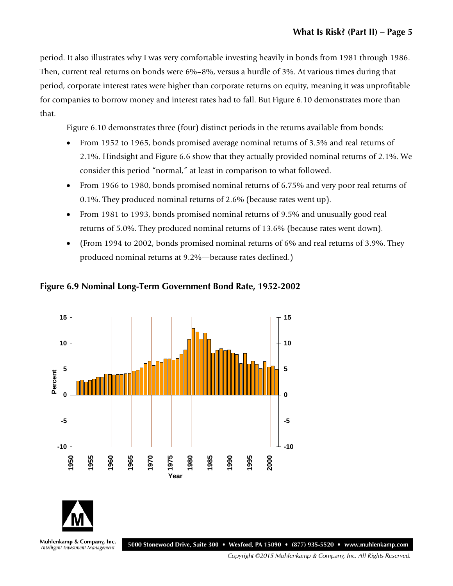period. It also illustrates why I was very comfortable investing heavily in bonds from 1981 through 1986. Then, current real returns on bonds were 6%–8%, versus a hurdle of 3%. At various times during that period, corporate interest rates were higher than corporate returns on equity, meaning it was unprofitable for companies to borrow money and interest rates had to fall. But Figure 6.10 demonstrates more than that.

Figure 6.10 demonstrates three (four) distinct periods in the returns available from bonds:

- From 1952 to 1965, bonds promised average nominal returns of 3.5% and real returns of 2.1%. Hindsight and Figure 6.6 show that they actually provided nominal returns of 2.1%. We consider this period "normal," at least in comparison to what followed.
- From 1966 to 1980, bonds promised nominal returns of 6.75% and very poor real returns of 0.1%. They produced nominal returns of 2.6% (because rates went up).
- From 1981 to 1993, bonds promised nominal returns of 9.5% and unusually good real returns of 5.0%. They produced nominal returns of 13.6% (because rates went down).
- (From 1994 to 2002, bonds promised nominal returns of 6% and real returns of 3.9%. They produced nominal returns at 9.2%—because rates declined.)



**Figure 6.9 Nominal Long-Term Government Bond Rate, 1952-2002**



Muhlenkamp & Company, Inc. Intelligent Investment Management

5000 Stonewood Drive, Suite 300 • Wexford, PA 15090 • (877) 935-5520 • www.muhlenkamp.com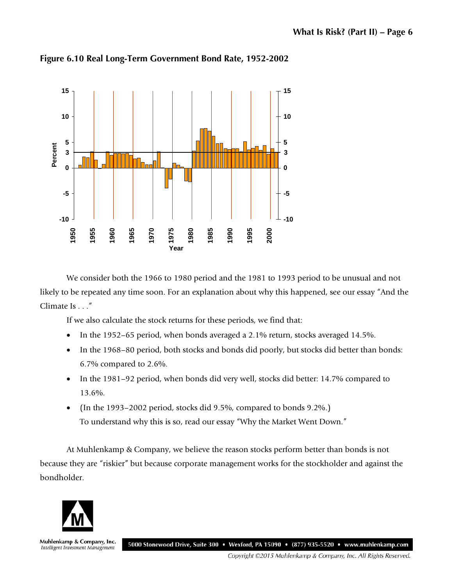

**Figure 6.10 Real Long-Term Government Bond Rate, 1952-2002**

We consider both the 1966 to 1980 period and the 1981 to 1993 period to be unusual and not likely to be repeated any time soon. For an explanation about why this happened, see our essay "And the Climate Is . . ."

If we also calculate the stock returns for these periods, we find that:

- In the 1952–65 period, when bonds averaged a 2.1% return, stocks averaged 14.5%.
- In the 1968–80 period, both stocks and bonds did poorly, but stocks did better than bonds: 6.7% compared to 2.6%.
- In the 1981–92 period, when bonds did very well, stocks did better: 14.7% compared to 13.6%.
- (In the 1993–2002 period, stocks did 9.5%, compared to bonds 9.2%.) To understand why this is so, read our essay "Why the Market Went Down."

At Muhlenkamp & Company, we believe the reason stocks perform better than bonds is not because they are "riskier" but because corporate management works for the stockholder and against the bondholder.



Muhlenkamp & Company, Inc. Intelligent Investment Management

5000 Stonewood Drive, Suite 300 • Wexford, PA 15090 • (877) 935-5520 • www.muhlenkamp.com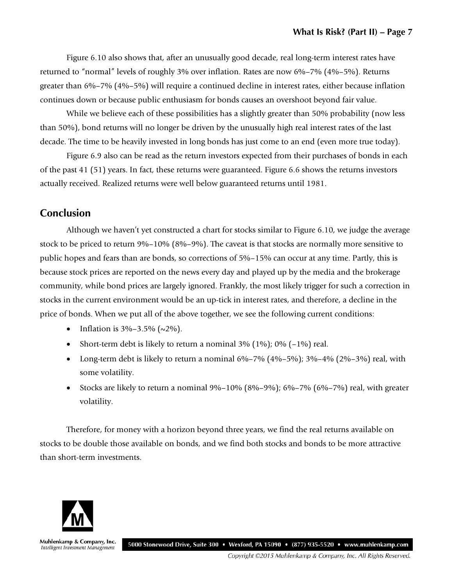Figure 6.10 also shows that, after an unusually good decade, real long-term interest rates have returned to "normal" levels of roughly 3% over inflation. Rates are now 6%–7% (4%–5%). Returns greater than 6%–7% (4%–5%) will require a continued decline in interest rates, either because inflation continues down or because public enthusiasm for bonds causes an overshoot beyond fair value.

While we believe each of these possibilities has a slightly greater than 50% probability (now less than 50%), bond returns will no longer be driven by the unusually high real interest rates of the last decade. The time to be heavily invested in long bonds has just come to an end (even more true today).

Figure 6.9 also can be read as the return investors expected from their purchases of bonds in each of the past 41 (51) years. In fact, these returns were guaranteed. Figure 6.6 shows the returns investors actually received. Realized returns were well below guaranteed returns until 1981.

#### **Conclusion**

Although we haven't yet constructed a chart for stocks similar to Figure 6.10, we judge the average stock to be priced to return 9%–10% (8%–9%). The caveat is that stocks are normally more sensitive to public hopes and fears than are bonds, so corrections of 5%–15% can occur at any time. Partly, this is because stock prices are reported on the news every day and played up by the media and the brokerage community, while bond prices are largely ignored. Frankly, the most likely trigger for such a correction in stocks in the current environment would be an up-tick in interest rates, and therefore, a decline in the price of bonds. When we put all of the above together, we see the following current conditions:

- Inflation is  $3\% 3.5\%$  ( $\sim 2\%$ ).
- Short-term debt is likely to return a nominal  $3\%$  (1%); 0% ( $-1\%$ ) real.
- Long-term debt is likely to return a nominal  $6\% 7\%$   $(4\% 5\%)$ ;  $3\% 4\%$   $(2\% 3\%)$  real, with some volatility.
- Stocks are likely to return a nominal  $9\% 10\%$  ( $8\% 9\%$ );  $6\% 7\%$  ( $6\% 7\%$ ) real, with greater volatility.

Therefore, for money with a horizon beyond three years, we find the real returns available on stocks to be double those available on bonds, and we find both stocks and bonds to be more attractive than short-term investments.



Muhlenkamp & Company, Inc. Intelligent Investment Management

5000 Stonewood Drive, Suite 300 • Wexford, PA 15090 • (877) 935-5520 • www.muhlenkamp.com